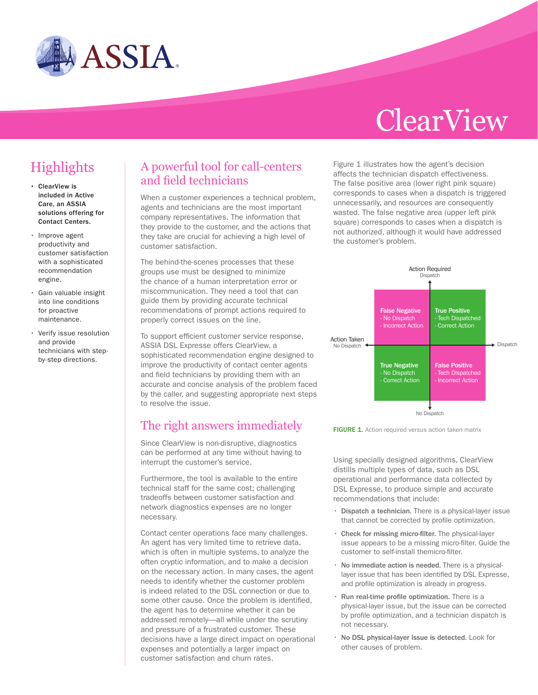

# **ClearView**

## **Highlights**

- ClearView is included in Active Care, an ASSIA solutions offering for Contact Centers.
- Improve agent productivity and customer satisfaction with a sophisticated recommendation engine.
- Gain valuable insight into line conditions for proactive maintenance.
- Verify issue resolution and provide technicians with stepby-step directions.

### A powerful tool for call-centers and field technicians

When a customer experiences a technical problem, agents and technicians are the most important company representatives. The information that they provide to the customer, and the actions that they take are crucial for achieving a high level of customer satisfaction.

The behind-the-scenes processes that these groups use must be designed to minimize the chance of a human interpretation error or miscommunication. They need a tool that can guide them by providing accurate technical recommendations of prompt actions required to properly correct issues on the line.

To support efficient customer service response, ASSIA DSL Expresse offers ClearView, a sophisticated recommendation engine designed to improve the productivity of contact center agents and field technicians by providing them with an accurate and concise analysis of the problem faced by the caller, and suggesting appropriate next steps to resolve the issue.

#### The right answers immediately

Since ClearView is non-disruptive, diagnostics can be performed at any time without having to interrupt the customer's service.

Furthermore, the tool is available to the entire technical staff for the same cost; challenging tradeoffs between customer satisfaction and network diagnostics expenses are no longer necessary.

Contact center operations face many challenges. An agent has very limited time to retrieve data, which is often in multiple systems, to analyze the often cryptic information, and to make a decision on the necessary action. In many cases, the agent needs to identify whether the customer problem is indeed related to the DSL connection or due to some other cause. Once the problem is identified, the agent has to determine whether it can be addressed remotely—all while under the scrutiny and pressure of a frustrated customer. These decisions have a large direct impact on operational expenses and potentially a larger impact on customer satisfaction and churn rates.

Figure 1 illustrates how the agent's decision affects the technician dispatch effectiveness. The false positive area (lower right pink square) corresponds to cases when a dispatch is triggered unnecessarily, and resources are consequently wasted. The false negative area (upper left pink square) corresponds to cases when a dispatch is not authorized, although it would have addressed the customer's problem.





Using specially designed algorithms, ClearView distills multiple types of data, such as DSL operational and performance data collected by DSL Expresse, to produce simple and accurate recommendations that include:

- Dispatch a technician. There is a physical-layer issue that cannot be corrected by profile optimization.
- Check for missing micro-filter. The physical-layer issue appears to be a missing micro-filter. Guide the customer to self-install themicro-filter.
- No immediate action is needed. There is a physicallayer issue that has been identified by DSL Expresse, and profile optimization is already in progress.
- Run real-time profile optimization. There is a physical-layer issue, but the issue can be corrected by profile optimization, and a technician dispatch is not necessary.
- No DSL physical-layer issue is detected. Look for other causes of problem.